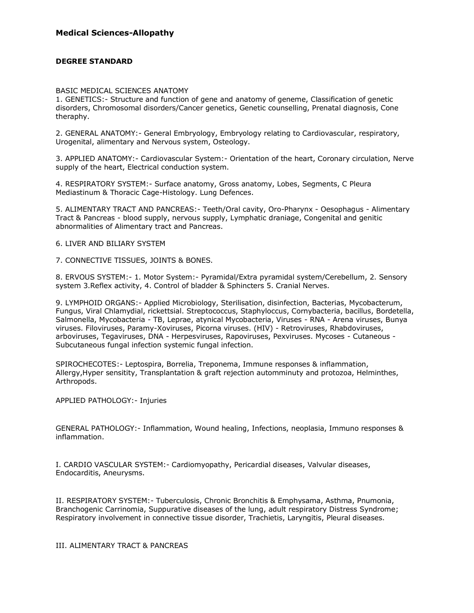# **DEGREE STANDARD**

#### BASIC MEDICAL SCIENCES ANATOMY

1. GENETICS:- Structure and function of gene and anatomy of geneme, Classification of genetic disorders, Chromosomal disorders/Cancer genetics, Genetic counselling, Prenatal diagnosis, Cone theraphy.

2. GENERAL ANATOMY:- General Embryology, Embryology relating to Cardiovascular, respiratory, Urogenital, alimentary and Nervous system, Osteology.

3. APPLIED ANATOMY:- Cardiovascular System:- Orientation of the heart, Coronary circulation, Nerve supply of the heart, Electrical conduction system.

4. RESPIRATORY SYSTEM:- Surface anatomy, Gross anatomy, Lobes, Segments, C Pleura Mediastinum & Thoracic Cage-Histology. Lung Defences.

5. ALIMENTARY TRACT AND PANCREAS:- Teeth/Oral cavity, Oro-Pharynx - Oesophagus - Alimentary Tract & Pancreas - blood supply, nervous supply, Lymphatic draniage, Congenital and genitic abnormalities of Alimentary tract and Pancreas.

6. LIVER AND BILIARY SYSTEM

7. CONNECTIVE TISSUES, JOINTS & BONES.

8. ERVOUS SYSTEM:- 1. Motor System:- Pyramidal/Extra pyramidal system/Cerebellum, 2. Sensory system 3.Reflex activity, 4. Control of bladder & Sphincters 5. Cranial Nerves.

9. LYMPHOID ORGANS:- Applied Microbiology, Sterilisation, disinfection, Bacterias, Mycobacterum, Fungus, Viral Chlamydial, rickettsial. Streptococcus, Staphyloccus, Cornybacteria, bacillus, Bordetella, Salmonella, Mycobacteria - TB, Leprae, atynical Mycobacteria, Viruses - RNA - Arena viruses, Bunya viruses. Filoviruses, Paramy-Xoviruses, Picorna viruses. (HIV) - Retroviruses, Rhabdoviruses, arboviruses, Tegaviruses, DNA - Herpesviruses, Rapoviruses, Pexviruses. Mycoses - Cutaneous - Subcutaneous fungal infection systemic fungal infection.

SPIROCHECOTES:- Leptospira, Borrelia, Treponema, Immune responses & inflammation, Allergy,Hyper sensitity, Transplantation & graft rejection automminuty and protozoa, Helminthes, Arthropods.

APPLIED PATHOLOGY:- Injuries

GENERAL PATHOLOGY:- Inflammation, Wound healing, Infections, neoplasia, Immuno responses & inflammation.

I. CARDIO VASCULAR SYSTEM:- Cardiomyopathy, Pericardial diseases, Valvular diseases, Endocarditis, Aneurysms.

II. RESPIRATORY SYSTEM:- Tuberculosis, Chronic Bronchitis & Emphysama, Asthma, Pnumonia, Branchogenic Carrinomia, Suppurative diseases of the lung, adult respiratory Distress Syndrome; Respiratory involvement in connective tissue disorder, Trachietis, Laryngitis, Pleural diseases.

III. ALIMENTARY TRACT & PANCREAS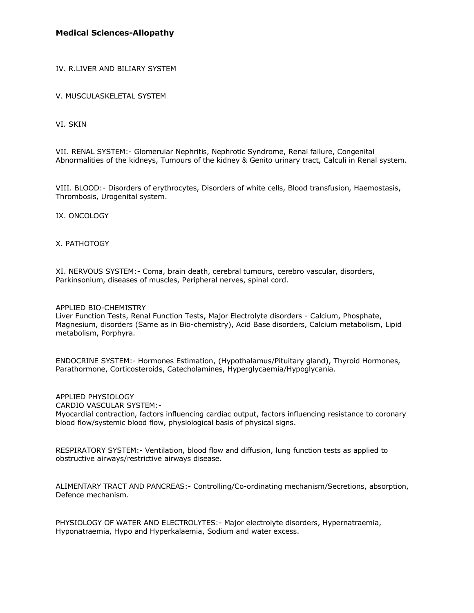IV. R.LIVER AND BILIARY SYSTEM

V. MUSCULASKELETAL SYSTEM

VI. SKIN

VII. RENAL SYSTEM:- Glomerular Nephritis, Nephrotic Syndrome, Renal failure, Congenital Abnormalities of the kidneys, Tumours of the kidney & Genito urinary tract, Calculi in Renal system.

VIII. BLOOD:- Disorders of erythrocytes, Disorders of white cells, Blood transfusion, Haemostasis, Thrombosis, Urogenital system.

IX. ONCOLOGY

# X. PATHOTOGY

XI. NERVOUS SYSTEM:- Coma, brain death, cerebral tumours, cerebro vascular, disorders, Parkinsonium, diseases of muscles, Peripheral nerves, spinal cord.

APPLIED BIO-CHEMISTRY Liver Function Tests, Renal Function Tests, Major Electrolyte disorders - Calcium, Phosphate, Magnesium, disorders (Same as in Bio-chemistry), Acid Base disorders, Calcium metabolism, Lipid metabolism, Porphyra.

ENDOCRINE SYSTEM:- Hormones Estimation, (Hypothalamus/Pituitary gland), Thyroid Hormones, Parathormone, Corticosteroids, Catecholamines, Hyperglycaemia/Hypoglycania.

APPLIED PHYSIOLOGY CARDIO VASCULAR SYSTEM:- Myocardial contraction, factors influencing cardiac output, factors influencing resistance to coronary blood flow/systemic blood flow, physiological basis of physical signs.

RESPIRATORY SYSTEM:- Ventilation, blood flow and diffusion, lung function tests as applied to obstructive airways/restrictive airways disease.

ALIMENTARY TRACT AND PANCREAS:- Controlling/Co-ordinating mechanism/Secretions, absorption, Defence mechanism.

PHYSIOLOGY OF WATER AND ELECTROLYTES:- Major electrolyte disorders, Hypernatraemia, Hyponatraemia, Hypo and Hyperkalaemia, Sodium and water excess.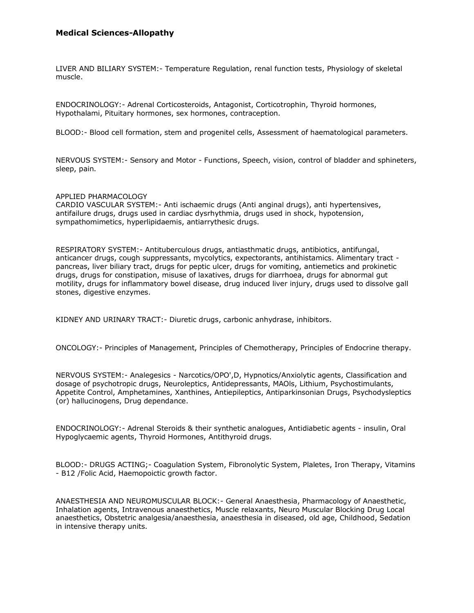LIVER AND BILIARY SYSTEM:- Temperature Regulation, renal function tests, Physiology of skeletal muscle.

ENDOCRINOLOGY:- Adrenal Corticosteroids, Antagonist, Corticotrophin, Thyroid hormones, Hypothalami, Pituitary hormones, sex hormones, contraception.

BLOOD:- Blood cell formation, stem and progenitel cells, Assessment of haematological parameters.

NERVOUS SYSTEM:- Sensory and Motor - Functions, Speech, vision, control of bladder and sphineters, sleep, pain.

#### APPLIED PHARMACOLOGY

CARDIO VASCULAR SYSTEM:- Anti ischaemic drugs (Anti anginal drugs), anti hypertensives, antifailure drugs, drugs used in cardiac dysrhythmia, drugs used in shock, hypotension, sympathomimetics, hyperlipidaemis, antiarrythesic drugs.

RESPIRATORY SYSTEM:- Antituberculous drugs, antiasthmatic drugs, antibiotics, antifungal, anticancer drugs, cough suppressants, mycolytics, expectorants, antihistamics. Alimentary tract pancreas, liver biliary tract, drugs for peptic ulcer, drugs for vomiting, antiemetics and prokinetic drugs, drugs for constipation, misuse of laxatives, drugs for diarrhoea, drugs for abnormal gut motility, drugs for inflammatory bowel disease, drug induced liver injury, drugs used to dissolve gall stones, digestive enzymes.

KIDNEY AND URINARY TRACT:- Diuretic drugs, carbonic anhydrase, inhibitors.

ONCOLOGY:- Principles of Management, Principles of Chemotherapy, Principles of Endocrine therapy.

NERVOUS SYSTEM:- Analegesics - Narcotics/OPO',D, Hypnotics/Anxiolytic agents, Classification and dosage of psychotropic drugs, Neuroleptics, Antidepressants, MAOls, Lithium, Psychostimulants, Appetite Control, Amphetamines, Xanthines, Antiepileptics, Antiparkinsonian Drugs, Psychodysleptics (or) hallucinogens, Drug dependance.

ENDOCRINOLOGY:- Adrenal Steroids & their synthetic analogues, Antidiabetic agents - insulin, Oral Hypoglycaemic agents, Thyroid Hormones, Antithyroid drugs.

BLOOD:- DRUGS ACTING;- Coagulation System, Fibronolytic System, Plaletes, Iron Therapy, Vitamins - B12 /Folic Acid, Haemopoictic growth factor.

ANAESTHESIA AND NEUROMUSCULAR BLOCK:- General Anaesthesia, Pharmacology of Anaesthetic, Inhalation agents, Intravenous anaesthetics, Muscle relaxants, Neuro Muscular Blocking Drug Local anaesthetics, Obstetric analgesia/anaesthesia, anaesthesia in diseased, old age, Childhood, Sedation in intensive therapy units.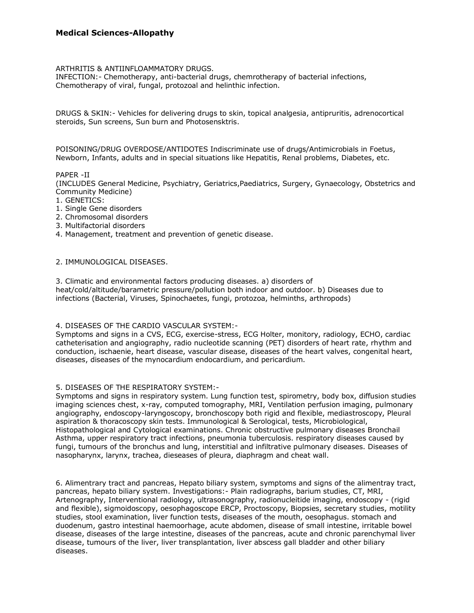# ARTHRITIS & ANTIINFLOAMMATORY DRUGS.

INFECTION:- Chemotherapy, anti-bacterial drugs, chemrotherapy of bacterial infections, Chemotherapy of viral, fungal, protozoal and helinthic infection.

DRUGS & SKIN:- Vehicles for delivering drugs to skin, topical analgesia, antipruritis, adrenocortical steroids, Sun screens, Sun burn and Photosensktris.

POISONING/DRUG OVERDOSE/ANTIDOTES Indiscriminate use of drugs/Antimicrobials in Foetus, Newborn, Infants, adults and in special situations like Hepatitis, Renal problems, Diabetes, etc.

# PAPER -II

(INCLUDES General Medicine, Psychiatry, Geriatrics,Paediatrics, Surgery, Gynaecology, Obstetrics and Community Medicine)

- 1. GENETICS:
- 1. Single Gene disorders
- 2. Chromosomal disorders
- 3. Multifactorial disorders
- 4. Management, treatment and prevention of genetic disease.

### 2. IMMUNOLOGICAL DISEASES.

3. Climatic and environmental factors producing diseases. a) disorders of heat/cold/altitude/barametric pressure/pollution both indoor and outdoor. b) Diseases due to infections (Bacterial, Viruses, Spinochaetes, fungi, protozoa, helminths, arthropods)

# 4. DISEASES OF THE CARDIO VASCULAR SYSTEM:-

Symptoms and signs in a CVS, ECG, exercise-stress, ECG Holter, monitory, radiology, ECHO, cardiac catheterisation and angiography, radio nucleotide scanning (PET) disorders of heart rate, rhythm and conduction, ischaenie, heart disease, vascular disease, diseases of the heart valves, congenital heart, diseases, diseases of the mynocardium endocardium, and pericardium.

# 5. DISEASES OF THE RESPIRATORY SYSTEM:-

Symptoms and signs in respiratory system. Lung function test, spirometry, body box, diffusion studies imaging sciences chest, x-ray, computed tomography, MRI, Ventilation perfusion imaging, pulmonary angiography, endoscopy-laryngoscopy, bronchoscopy both rigid and flexible, mediastroscopy, Pleural aspiration & thoracoscopy skin tests. Immunological & Serological, tests, Microbiological, Histopathological and Cytological examinations. Chronic obstructive pulmonary diseases Bronchail Asthma, upper respiratory tract infections, pneumonia tuberculosis. respiratory diseases caused by fungi, tumours of the bronchus and lung, interstitial and infiltrative pulmonary diseases. Diseases of nasopharynx, larynx, trachea, dieseases of pleura, diaphragm and cheat wall.

6. Alimentrary tract and pancreas, Hepato biliary system, symptoms and signs of the alimentray tract, pancreas, hepato biliary system. Investigations:- Plain radiographs, barium studies, CT, MRI, Artenography, Interventional radiology, ultrasonography, radionucleitide imaging, endoscopy - (rigid and flexible), sigmoidoscopy, oesophagoscope ERCP, Proctoscopy, Biopsies, secretary studies, motility studies, stool examination, liver function tests, diseases of the mouth, oesophagus. stomach and duodenum, gastro intestinal haemoorhage, acute abdomen, disease of small intestine, irritable bowel disease, diseases of the large intestine, diseases of the pancreas, acute and chronic parenchymal liver disease, tumours of the liver, liver transplantation, liver abscess gall bladder and other biliary diseases.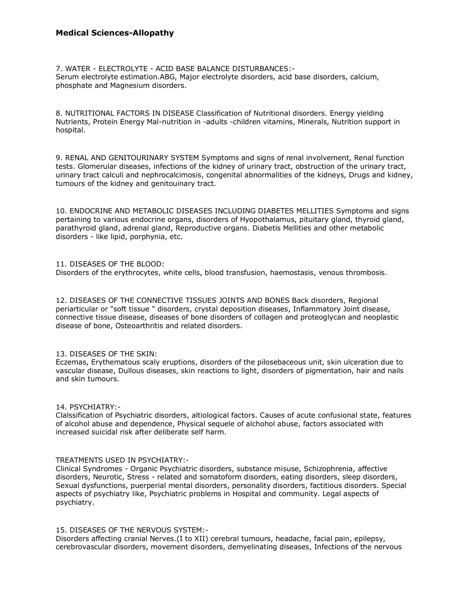7. WATER - ELECTROLYTE - ACID BASE BALANCE DISTURBANCES:- Serum electrolyte estimation.ABG, Major electrolyte disorders, acid base disorders, calcium, phosphate and Magnesium disorders.

8. NUTRITIONAL FACTORS IN DISEASE Classification of Nutritional disorders. Energy yielding Nutrients, Protein Energy Mal-nutrition in -adults -children vitamins, Minerals, Nutrition support in hospital.

9. RENAL AND GENITOURINARY SYSTEM Symptoms and signs of renal involvement, Renal function tests. Glomerular diseases, infections of the kidney of urinary tract, obstruction of the urinary tract, urinary tract calculi and nephrocalcimosis, congenital abnormalities of the kidneys, Drugs and kidney, tumours of the kidney and genitouinary tract.

10. ENDOCRINE AND METABOLIC DISEASES INCLUDING DIABETES MELLITIES Symptoms and signs pertaining to various endocrine organs, disorders of Hyopothalamus, pituitary gland, thyroid gland, parathyroid gland, adrenal gland, Reproductive organs. Diabetis Mellities and other metabolic disorders - like lipid, porphynia, etc.

#### 11. DISEASES OF THE BLOOD:

Disorders of the erythrocytes, white cells, blood transfusion, haemostasis, venous thrombosis.

12. DISEASES OF THE CONNECTIVE TISSUES JOINTS AND BONES Back disorders, Regional periarticular or "soft tissue " disorders, crystal deposition diseases, Inflammatory Joint disease, connective tissue disease, diseases of bone disorders of collagen and proteoglycan and neoplastic disease of bone, Osteoarthritis and related disorders.

#### 13. DISEASES OF THE SKIN:

Eczemas, Erythematous scaly eruptions, disorders of the pilosebaceous unit, skin ulceration due to vascular disease, Dullous diseases, skin reactions to light, disorders of pigmentation, hair and nails and skin tumours.

#### 14. PSYCHIATRY:-

Clalssification of Psychiatric disorders, altiological factors. Causes of acute confusional state, features of alcohol abuse and dependence, Physical sequele of alchohol abuse, factors associated with increased suicidal risk after deliberate self harm.

#### TREATMENTS USED IN PSYCHIATRY:-

Clinical Syndromes - Organic Psychiatric disorders, substance misuse, Schizophrenia, affective disorders, Neurotic, Stress - related and somatoform disorders, eating disorders, sleep disorders, Sexual dysfunctions, puerperial mental disorders, personality disorders, factitious disorders. Special aspects of psychiatry like, Psychiatric problems in Hospital and community. Legal aspects of psychiatry.

#### 15. DISEASES OF THE NERVOUS SYSTEM:-

Disorders affecting cranial Nerves.(I to XII) cerebral tumours, headache, facial pain, epilepsy, cerebrovascular disorders, movement disorders, demyelinating diseases, Infections of the nervous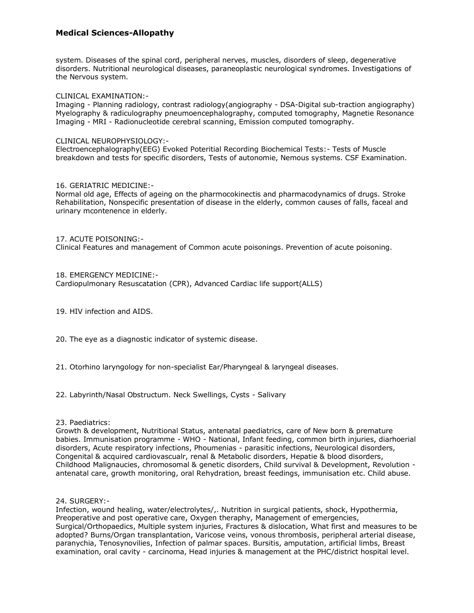system. Diseases of the spinal cord, peripheral nerves, muscles, disorders of sleep, degenerative disorders. Nutritional neurological diseases, paraneoplastic neurological syndromes. Investigations of the Nervous system.

# CLINICAL EXAMINATION:-

Imaging - Planning radiology, contrast radiology(angiography - DSA-Digital sub-traction angiography) Myelography & radiculography pneumoencephalography, computed tomography, Magnetie Resonance Imaging - MRI - Radionucleotide cerebral scanning, Emission computed tomography.

### CLINICAL NEUROPHYSIOLOGY:-

Electroencephalography(EEG) Evoked Poteritial Recording Biochemical Tests:- Tests of Muscle breakdown and tests for specific disorders, Tests of autonomie, Nemous systems. CSF Examination.

### 16. GERIATRIC MEDICINE:-

Normal old age, Effects of ageing on the pharmocokinectis and pharmacodynamics of drugs. Stroke Rehabilitation, Nonspecific presentation of disease in the elderly, common causes of falls, faceal and urinary mcontenence in elderly.

### 17. ACUTE POISONING:-

Clinical Features and management of Common acute poisonings. Prevention of acute poisoning.

18. EMERGENCY MEDICINE:- Cardiopulmonary Resuscatation (CPR), Advanced Cardiac life support(ALLS)

19. HIV infection and AIDS.

20. The eye as a diagnostic indicator of systemic disease.

21. Otorhino laryngology for non-specialist Ear/Pharyngeal & laryngeal diseases.

22. Labyrinth/Nasal Obstructum. Neck Swellings, Cysts - Salivary

#### 23. Paediatrics:

Growth & development, Nutritional Status, antenatal paediatrics, care of New born & premature babies. Immunisation programme - WHO - National, Infant feeding, common birth injuries, diarhoerial disorders, Acute respiratory infections, Phoumenias - parasitic infections, Neurological disorders, Congenital & acquired cardiovascualr, renal & Metabolic disorders, Hepatie & blood disorders, Childhood Malignaucies, chromosomal & genetic disorders, Child survival & Development, Revolution antenatal care, growth monitoring, oral Rehydration, breast feedings, immunisation etc. Child abuse.

#### 24. SURGERY:-

Infection, wound healing, water/electrolytes/,. Nutrition in surgical patients, shock, Hypothermia, Preoperative and post operative care, Oxygen theraphy, Management of emergencies, Surgical/Orthopaedics, Multiple system injuries, Fractures & dislocation, What first and measures to be adopted? Burns/Organ transplantation, Varicose veins, vonous thrombosis, peripheral arterial disease, paranychia, Tenosynovilies, Infection of palmar spaces. Bursitis, amputation, artificial limbs, Breast examination, oral cavity - carcinoma, Head injuries & management at the PHC/district hospital level.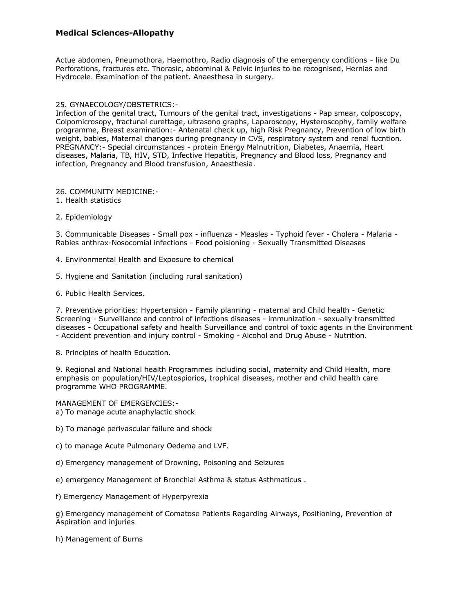Actue abdomen, Pneumothora, Haemothro, Radio diagnosis of the emergency conditions - like Du Perforations, fractures etc. Thorasic, abdominal & Pelvic injuries to be recognised, Hernias and Hydrocele. Examination of the patient. Anaesthesa in surgery.

# 25. GYNAECOLOGY/OBSTETRICS:-

Infection of the genital tract, Tumours of the genital tract, investigations - Pap smear, colposcopy, Colpomicrosopy, fractunal curettage, ultrasono graphs, Laparoscopy, Hysteroscophy, family welfare programme, Breast examination:- Antenatal check up, high Risk Pregnancy, Prevention of low birth weight, babies, Maternal changes during pregnancy in CVS, respiratory system and renal fucntion. PREGNANCY:- Special circumstances - protein Energy Malnutrition, Diabetes, Anaemia, Heart diseases, Malaria, TB, HIV, STD, Infective Hepatitis, Pregnancy and Blood loss, Pregnancy and infection, Pregnancy and Blood transfusion, Anaesthesia.

# 26. COMMUNITY MEDICINE:-

- 1. Health statistics
- 2. Epidemiology

3. Communicable Diseases - Small pox - influenza - Measles - Typhoid fever - Cholera - Malaria - Rabies anthrax-Nosocomial infections - Food poisioning - Sexually Transmitted Diseases

- 4. Environmental Health and Exposure to chemical
- 5. Hygiene and Sanitation (including rural sanitation)
- 6. Public Health Services.

7. Preventive priorities: Hypertension - Family planning - maternal and Child health - Genetic Screening - Surveillance and control of infections diseases - immunization - sexually transmitted diseases - Occupational safety and health Surveillance and control of toxic agents in the Environment - Accident prevention and injury control - Smoking - Alcohol and Drug Abuse - Nutrition.

8. Principles of health Education.

9. Regional and National health Programmes including social, maternity and Child Health, more emphasis on population/HIV/Leptospiorios, trophical diseases, mother and child health care programme WHO PROGRAMME.

MANAGEMENT OF EMERGENCIES: a) To manage acute anaphylactic shock

- b) To manage perivascular failure and shock
- c) to manage Acute Pulmonary Oedema and LVF.
- d) Emergency management of Drowning, Poisoning and Seizures
- e) emergency Management of Bronchial Asthma & status Asthmaticus .
- f) Emergency Management of Hyperpyrexia

g) Emergency management of Comatose Patients Regarding Airways, Positioning, Prevention of Aspiration and injuries

h) Management of Burns